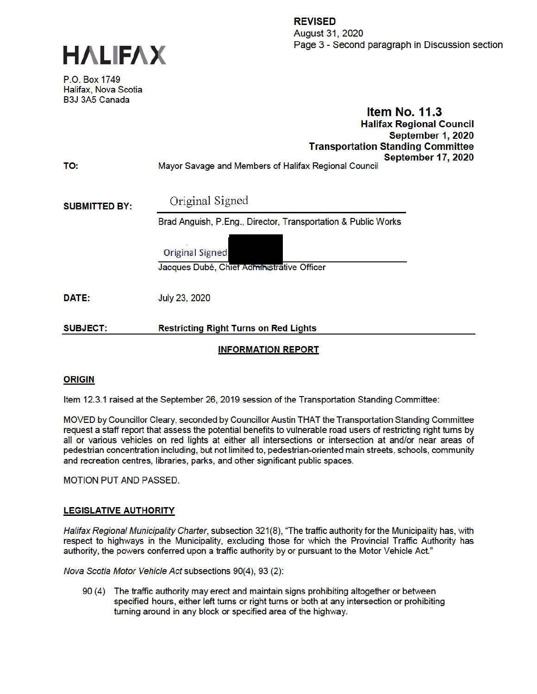



P.O. Box 1749 Halifax, Nova Scotia B3J 3A5 Canada

### **Item No. 11.3 Halifax Regional Council** September 1, 2020 **Transportation Standing Committee** September 17, 2020  $\epsilon$  ) is the set of  $\epsilon$  . The set of  $\epsilon$

| <b>SUBJECT:</b>      | <b>Restricting Right Turns on Red Lights</b>                                     |
|----------------------|----------------------------------------------------------------------------------|
| <b>DATE:</b>         | July 23, 2020                                                                    |
|                      | <b>Original Signed</b><br>Jacques Dubé, Chiet Administrative Officer             |
| <b>SUBMITTED BY:</b> | Original Signed<br>Brad Anguish, P.Eng., Director, Transportation & Public Works |
| TO:                  | <b>OCNIGHINGL L</b><br>Mayor Savage and Members of Halifax Regional Council      |

# **INFORMATION REPORT**

# **ORIGIN**

Item 12.3.1 raised at the September 26, 2019 session of the Transportation Standing Committee:

MOVED by Councillor Cleary, seconded by Councillor Austin THAT the Transportation Standing Committee request a staff report that assess the potential benefits to vulnerable road users of restricting right turns by all or various vehicles on red lights at either all intersections or intersection at and/or near areas of pedestrian concentration including, but not limited to, pedestrian-oriented main streets, schools, community and recreation centres, libraries, parks, and other significant public spaces.

**MOTION PUT AND PASSED.** 

## **LEGISLATIVE AUTHORITY**

Halifax Regional Municipality Charter, subsection 321(8), "The traffic authority for the Municipality has, with respect to highways in the Municipality, excluding those for which the Provincial Traffic Authority has authority, the powers conferred upon a traffic authority by or pursuant to the Motor Vehicle Act."

Nova Scotia Motor Vehicle Act subsections 90(4), 93 (2):

90 (4) The traffic authority may erect and maintain signs prohibiting altogether or between specified hours, either left turns or right turns or both at any intersection or prohibiting turning around in any block or specified area of the highway.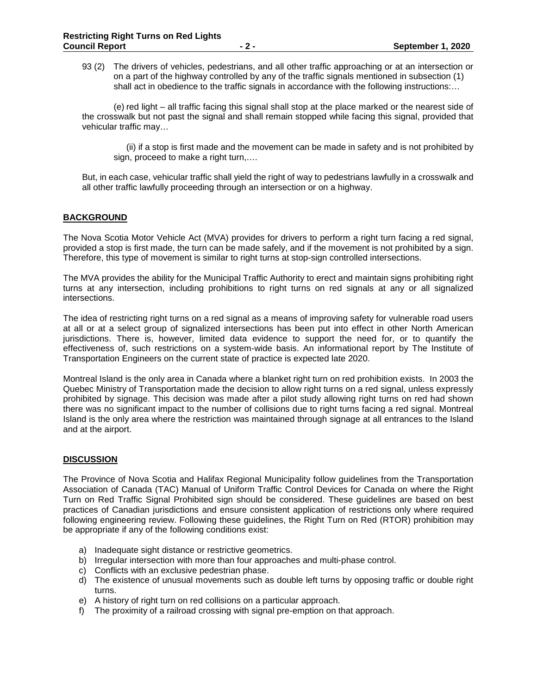93 (2) The drivers of vehicles, pedestrians, and all other traffic approaching or at an intersection or on a part of the highway controlled by any of the traffic signals mentioned in subsection (1) shall act in obedience to the traffic signals in accordance with the following instructions:...

 (e) red light – all traffic facing this signal shall stop at the place marked or the nearest side of the crosswalk but not past the signal and shall remain stopped while facing this signal, provided that vehicular traffic may…

 (ii) if a stop is first made and the movement can be made in safety and is not prohibited by sign, proceed to make a right turn,.…

But, in each case, vehicular traffic shall yield the right of way to pedestrians lawfully in a crosswalk and all other traffic lawfully proceeding through an intersection or on a highway.

### **BACKGROUND**

The Nova Scotia Motor Vehicle Act (MVA) provides for drivers to perform a right turn facing a red signal, provided a stop is first made, the turn can be made safely, and if the movement is not prohibited by a sign. Therefore, this type of movement is similar to right turns at stop-sign controlled intersections.

The MVA provides the ability for the Municipal Traffic Authority to erect and maintain signs prohibiting right turns at any intersection, including prohibitions to right turns on red signals at any or all signalized intersections.

The idea of restricting right turns on a red signal as a means of improving safety for vulnerable road users at all or at a select group of signalized intersections has been put into effect in other North American jurisdictions. There is, however, limited data evidence to support the need for, or to quantify the effectiveness of, such restrictions on a system-wide basis. An informational report by The Institute of Transportation Engineers on the current state of practice is expected late 2020.

Montreal Island is the only area in Canada where a blanket right turn on red prohibition exists. In 2003 the Quebec Ministry of Transportation made the decision to allow right turns on a red signal, unless expressly prohibited by signage. This decision was made after a pilot study allowing right turns on red had shown there was no significant impact to the number of collisions due to right turns facing a red signal. Montreal Island is the only area where the restriction was maintained through signage at all entrances to the Island and at the airport.

### **DISCUSSION**

The Province of Nova Scotia and Halifax Regional Municipality follow guidelines from the Transportation Association of Canada (TAC) Manual of Uniform Traffic Control Devices for Canada on where the Right Turn on Red Traffic Signal Prohibited sign should be considered. These guidelines are based on best practices of Canadian jurisdictions and ensure consistent application of restrictions only where required following engineering review. Following these guidelines, the Right Turn on Red (RTOR) prohibition may be appropriate if any of the following conditions exist:

- a) Inadequate sight distance or restrictive geometrics.
- b) Irregular intersection with more than four approaches and multi-phase control.
- c) Conflicts with an exclusive pedestrian phase.
- d) The existence of unusual movements such as double left turns by opposing traffic or double right turns.
- e) A history of right turn on red collisions on a particular approach.
- f) The proximity of a railroad crossing with signal pre-emption on that approach.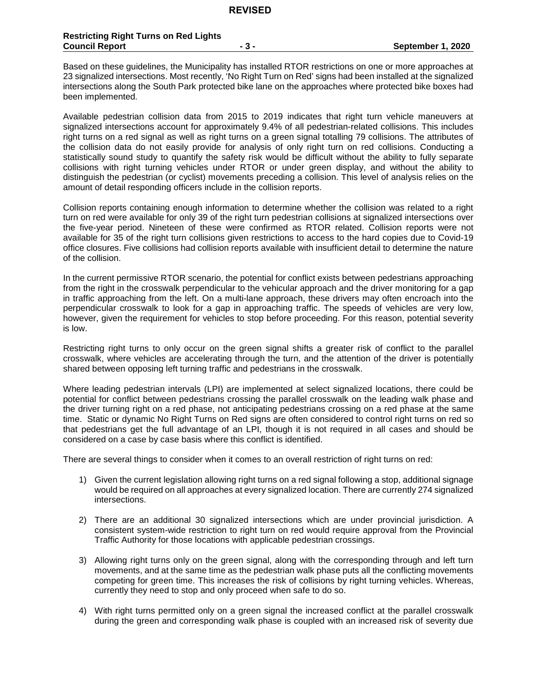Based on these guidelines, the Municipality has installed RTOR restrictions on one or more approaches at 23 signalized intersections. Most recently, 'No Right Turn on Red' signs had been installed at the signalized intersections along the South Park protected bike lane on the approaches where protected bike boxes had been implemented.

Available pedestrian collision data from 2015 to 2019 indicates that right turn vehicle maneuvers at signalized intersections account for approximately 9.4% of all pedestrian-related collisions. This includes right turns on a red signal as well as right turns on a green signal totalling 79 collisions. The attributes of the collision data do not easily provide for analysis of only right turn on red collisions. Conducting a statistically sound study to quantify the safety risk would be difficult without the ability to fully separate collisions with right turning vehicles under RTOR or under green display, and without the ability to distinguish the pedestrian (or cyclist) movements preceding a collision. This level of analysis relies on the amount of detail responding officers include in the collision reports.

Collision reports containing enough information to determine whether the collision was related to a right turn on red were available for only 39 of the right turn pedestrian collisions at signalized intersections over the five-year period. Nineteen of these were confirmed as RTOR related. Collision reports were not available for 35 of the right turn collisions given restrictions to access to the hard copies due to Covid-19 office closures. Five collisions had collision reports available with insufficient detail to determine the nature of the collision.

In the current permissive RTOR scenario, the potential for conflict exists between pedestrians approaching from the right in the crosswalk perpendicular to the vehicular approach and the driver monitoring for a gap in traffic approaching from the left. On a multi-lane approach, these drivers may often encroach into the perpendicular crosswalk to look for a gap in approaching traffic. The speeds of vehicles are very low, however, given the requirement for vehicles to stop before proceeding. For this reason, potential severity is low.

Restricting right turns to only occur on the green signal shifts a greater risk of conflict to the parallel crosswalk, where vehicles are accelerating through the turn, and the attention of the driver is potentially shared between opposing left turning traffic and pedestrians in the crosswalk.

Where leading pedestrian intervals (LPI) are implemented at select signalized locations, there could be potential for conflict between pedestrians crossing the parallel crosswalk on the leading walk phase and the driver turning right on a red phase, not anticipating pedestrians crossing on a red phase at the same time. Static or dynamic No Right Turns on Red signs are often considered to control right turns on red so that pedestrians get the full advantage of an LPI, though it is not required in all cases and should be considered on a case by case basis where this conflict is identified.

There are several things to consider when it comes to an overall restriction of right turns on red:

- 1) Given the current legislation allowing right turns on a red signal following a stop, additional signage would be required on all approaches at every signalized location. There are currently 274 signalized intersections.
- 2) There are an additional 30 signalized intersections which are under provincial jurisdiction. A consistent system-wide restriction to right turn on red would require approval from the Provincial Traffic Authority for those locations with applicable pedestrian crossings.
- 3) Allowing right turns only on the green signal, along with the corresponding through and left turn movements, and at the same time as the pedestrian walk phase puts all the conflicting movements competing for green time. This increases the risk of collisions by right turning vehicles. Whereas, currently they need to stop and only proceed when safe to do so.
- 4) With right turns permitted only on a green signal the increased conflict at the parallel crosswalk during the green and corresponding walk phase is coupled with an increased risk of severity due